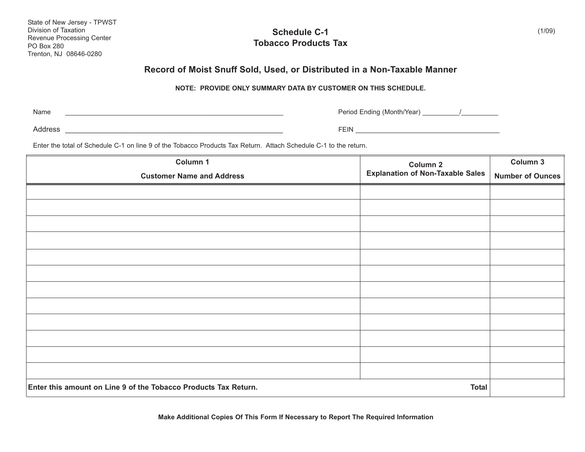| State of New Jersey - TPWST |
|-----------------------------|
| Division of Taxation        |
| Revenue Processing Center   |
| <b>PO Box 280</b>           |
| Trenton, NJ 08646-0280      |

## **Schedule C-1 Tobacco Products Tax**

## **Record of Moist Snuff Sold, Used, or Distributed in a Non-Taxable Manner**

## **NOTE: PROVIDE ONLY SUMMARY DATA BY CUSTOMER ON THIS SCHEDULE.**

Name

\_\_\_\_\_\_\_\_\_\_\_\_\_\_\_\_\_\_\_\_\_\_\_\_\_\_\_\_\_\_\_\_\_\_\_\_\_\_\_\_\_\_\_\_\_\_\_\_\_\_\_\_\_\_\_\_\_\_\_ Period Ending (Month/Year) \_\_\_\_\_\_\_\_\_\_/\_\_\_\_\_\_\_\_\_\_

Address \_\_\_\_\_\_\_\_\_\_\_\_\_\_\_\_\_\_\_\_\_\_\_\_\_\_\_\_\_\_\_\_\_\_\_\_\_\_\_\_\_\_\_\_\_\_\_\_\_\_\_\_\_ FEIN \_\_\_\_\_\_\_\_\_\_\_\_\_\_\_\_\_\_\_\_\_\_\_\_\_\_\_\_\_\_\_\_\_\_\_\_\_\_\_

Enter the total of Schedule C-1 on line 9 of the Tobacco Products Tax Return. Attach Schedule C-1 to the return.

| Column 1                                                        | Column 2<br><b>Explanation of Non-Taxable Sales</b> | Column 3                |
|-----------------------------------------------------------------|-----------------------------------------------------|-------------------------|
| <b>Customer Name and Address</b>                                |                                                     | <b>Number of Ounces</b> |
|                                                                 |                                                     |                         |
|                                                                 |                                                     |                         |
|                                                                 |                                                     |                         |
|                                                                 |                                                     |                         |
|                                                                 |                                                     |                         |
|                                                                 |                                                     |                         |
|                                                                 |                                                     |                         |
|                                                                 |                                                     |                         |
|                                                                 |                                                     |                         |
|                                                                 |                                                     |                         |
|                                                                 |                                                     |                         |
|                                                                 |                                                     |                         |
| Enter this amount on Line 9 of the Tobacco Products Tax Return. | <b>Total</b>                                        |                         |